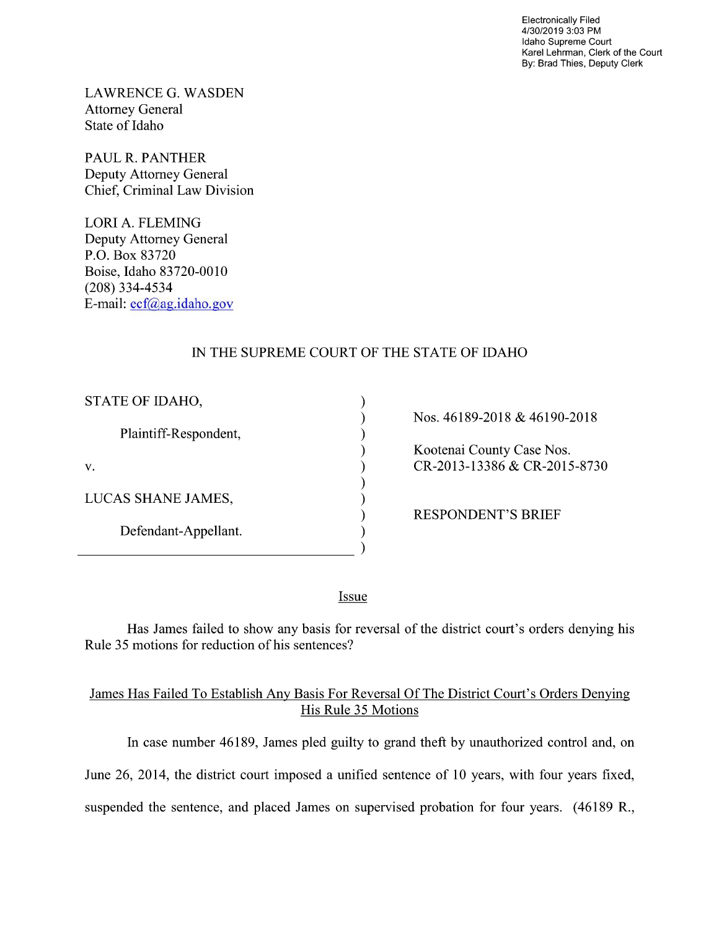Electronically Filed 4/30/2019 3:03 PM Idaho Supreme Court Karel Lehrman, Clerk of the Court By: Brad Thies, Deputy Clerk

LAWRENCE G. WASDEN Attorney General State of Idaho

PAUL R. PANTHER Deputy Attorney General Chief, Criminal Law Division

LORI A. FLEMING Deputy Attorney General P.O. Box 83720 Boise, Idaho 83720-0010 (208) 334—4534 E—mail: ecf@ag.idaho.gov

# IN THE SUPREME COURT OF THE STATE OF IDAHO

 $\mathcal{E}$  $\mathcal{E}$  $\mathcal{E}$  $\mathcal{E}$ 

 $\mathcal{E}$  $\overline{\phantom{a}}$  $\mathcal{E}$  $\mathcal{E}$  $\mathcal{E}$ 

| STATE OF IDAHO,       |
|-----------------------|
| Plaintiff-Respondent, |
| V.                    |
| LUCAS SHANE JAMES,    |
| Defendant-Appellant.  |

Nos. 46189-2018 46190-2018 Kootenai County Case Nos.  $C_{R-2013-13386} & C_{R-2015-8730}$ 

RESPONDENT'S BRIEF

Issue

Has James failed to show any basis for reversal of the district court's orders denying his Rule 35 motions for reduction of his sentences?

## James Has Failed T0 Establish AnV Basis For Reversal Of The District Court's Orders Denying His Rule 35 Motions

In case number 46189, James pled guilty to grand theft by unauthorized control and, 0n June 26, 2014, the district court imposed a unified sentence of 10 years, with four years fixed, suspended the sentence, and placed James on supervised probation for four years. (46189 R.,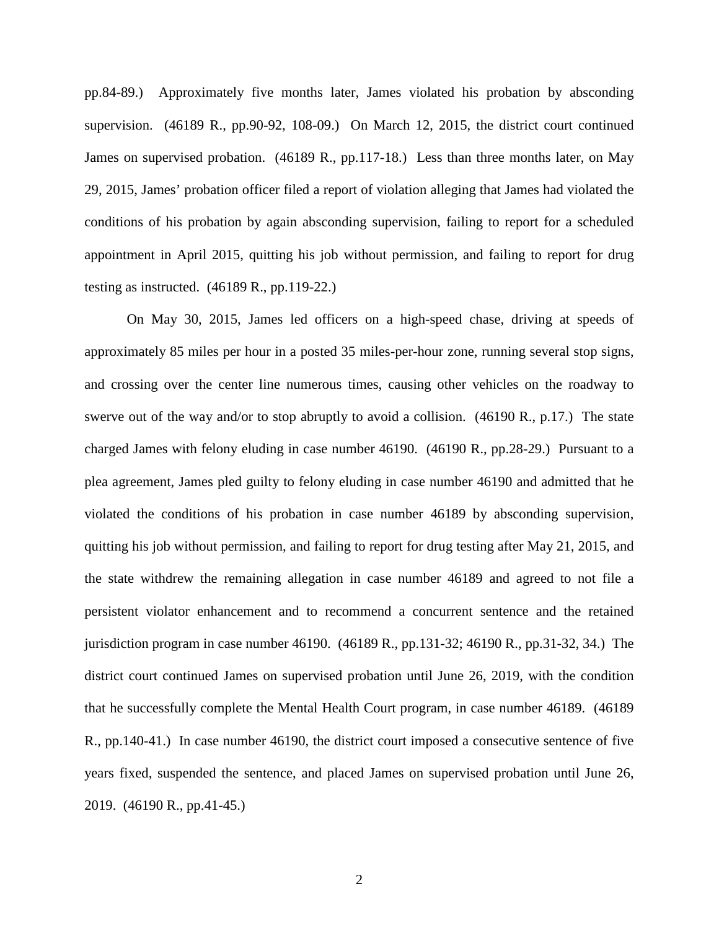pp.84-89.) Approximately five months later, James violated his probation by absconding supervision. (46189 R., pp.90-92, 108-09.) On March 12, 2015, the district court continued James on supervised probation. (46189 R., pp.117-18.) Less than three months later, on May 29, 2015, James' probation officer filed a report of violation alleging that James had violated the conditions of his probation by again absconding supervision, failing to report for a scheduled appointment in April 2015, quitting his job without permission, and failing to report for drug testing as instructed. (46189 R., pp.119-22.)

On May 30, 2015, James led officers on a high-speed chase, driving at speeds of approximately 85 miles per hour in a posted 35 miles-per-hour zone, running several stop signs, and crossing over the center line numerous times, causing other vehicles on the roadway to swerve out of the way and/or to stop abruptly to avoid a collision. (46190 R., p.17.) The state charged James with felony eluding in case number 46190. (46190 R., pp.28-29.) Pursuant to a plea agreement, James pled guilty to felony eluding in case number 46190 and admitted that he violated the conditions of his probation in case number 46189 by absconding supervision, quitting his job without permission, and failing to report for drug testing after May 21, 2015, and the state withdrew the remaining allegation in case number 46189 and agreed to not file a persistent violator enhancement and to recommend a concurrent sentence and the retained jurisdiction program in case number 46190. (46189 R., pp.131-32; 46190 R., pp.31-32, 34.) The district court continued James on supervised probation until June 26, 2019, with the condition that he successfully complete the Mental Health Court program, in case number 46189. (46189 R., pp.140-41.) In case number 46190, the district court imposed a consecutive sentence of five years fixed, suspended the sentence, and placed James on supervised probation until June 26, 2019. (46190 R., pp.41-45.)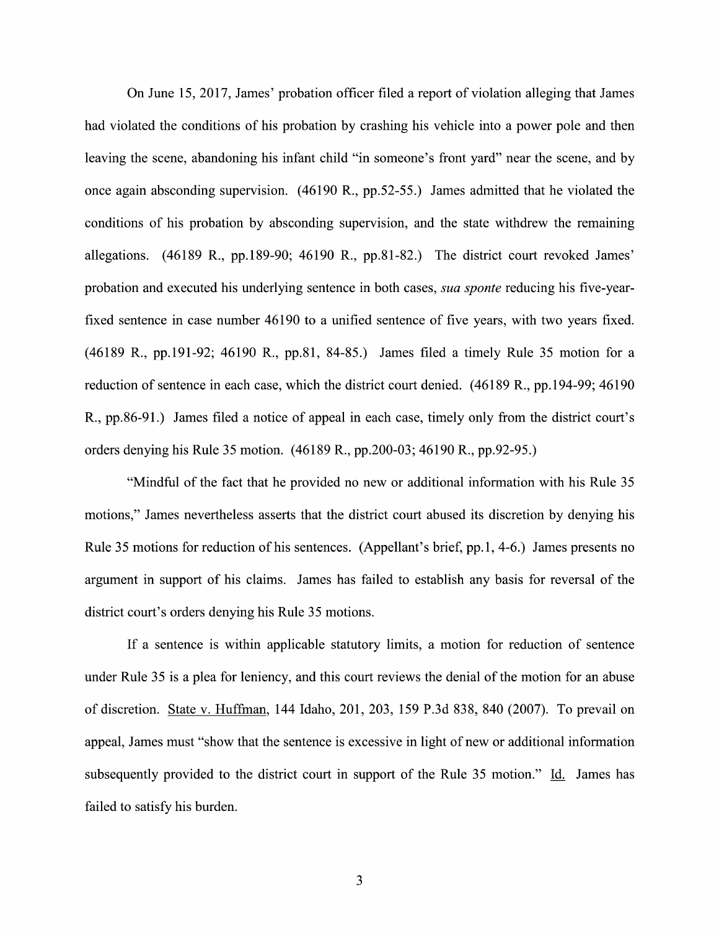On June 15, 2017, James' probation officer filed a report of violation alleging that James had violated the conditions of his probation by crashing his vehicle into a power pole and then leaving the scene, abandoning his infant child "in someone's front yard" near the scene, and by once again absconding supervision. (46190 R., pp.52-55.) James admitted that he violated the conditions 0f his probation by absconding supervision, and the state withdrew the remaining allegations. (46189 R., pp.189-90; 46190 R., pp.81-82.) The district court revoked James' probation and executed his underlying sentence in both cases, *sua sponte* reducing his five-yearfixed sentence in case number 46190 to a unified sentence of five years, with two years fixed. (46189 R., pp.191-92; 46190 R., pp.81, 84-85.) James filed a timely Rule 35 motion for a reduction of sentence in each case, which the district court denied. (46189 R., pp.194-99; 46190 R., pp.86-91.) James filed a notice of appeal in each case, timely only from the district court's orders denying his Rule 35 motion. (46189 R., pp.200-03; 46190 R., pp.92-95.)

"Mindful of the fact that he provided no new or additional information with his Rule 35 motions," James nevertheless asserts that the district court abused its discretion by denying his Rule 35 motions for reduction of his sentences. (Appellant's brief, pp.1, 4-6.) James presents no argument in support of his claims. James has failed to establish any basis for reversal of the district court's orders denying his Rule 35 motions.

If a sentence is within applicable statutory limits, a motion for reduction of sentence under Rule 35 is a plea for leniency, and this court reviews the denial of the motion for an abuse 0f discretion. State V. Huffman, <sup>144</sup> Idaho, 201, 203, <sup>159</sup> P.3d 838, <sup>840</sup> (2007). To prevail on appeal, James must "show that the sentence is excessive in light of new or additional information subsequently provided to the district court in support of the Rule 35 motion." Id. James has failed to satisfy his burden.